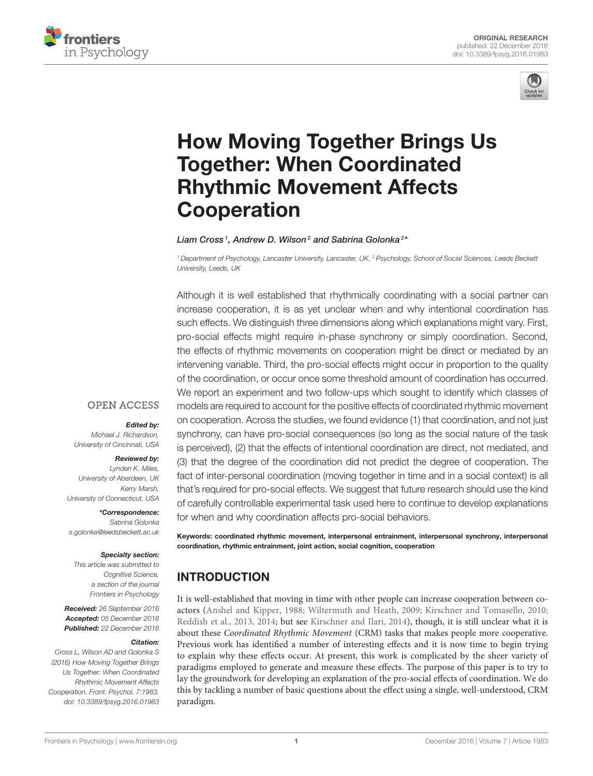



# [How Moving Together Brings Us](http://journal.frontiersin.org/article/10.3389/fpsyg.2016.01983/abstract) Together: When Coordinated Rhythmic Movement Affects **Cooperation**

#### [Liam Cross](http://loop.frontiersin.org/people/380756/overview)<sup>1</sup>, [Andrew D. Wilson](http://loop.frontiersin.org/people/26821/overview)<sup>2</sup> and [Sabrina Golonka](http://loop.frontiersin.org/people/47023/overview)<sup>2\*</sup>

*<sup>1</sup> Department of Psychology, Lancaster University, Lancaster, UK, <sup>2</sup> Psychology, School of Social Sciences, Leeds Beckett University, Leeds, UK*

Although it is well established that rhythmically coordinating with a social partner can increase cooperation, it is as yet unclear when and why intentional coordination has such effects. We distinguish three dimensions along which explanations might vary. First, pro-social effects might require in-phase synchrony or simply coordination. Second, the effects of rhythmic movements on cooperation might be direct or mediated by an intervening variable. Third, the pro-social effects might occur in proportion to the quality of the coordination, or occur once some threshold amount of coordination has occurred. We report an experiment and two follow-ups which sought to identify which classes of models are required to account for the positive effects of coordinated rhythmic movement on cooperation. Across the studies, we found evidence (1) that coordination, and not just synchrony, can have pro-social consequences (so long as the social nature of the task is perceived), (2) that the effects of intentional coordination are direct, not mediated, and (3) that the degree of the coordination did not predict the degree of cooperation. The fact of inter-personal coordination (moving together in time and in a social context) is all that's required for pro-social effects. We suggest that future research should use the kind of carefully controllable experimental task used here to continue to develop explanations for when and why coordination affects pro-social behaviors.

#### Specialty section:

*This article was submitted to Cognitive Science, a section of the journal Frontiers in Psychology*

*University of Connecticut, USA*

*[s.golonka@leedsbeckett.ac.uk](mailto:s.golonka@leedsbeckett.ac.uk)*

Received: *26 September 2016* Accepted: *05 December 2016* Published: *22 December 2016*

#### Citation:

Edited by:

Reviewed by: *Lynden K. Miles, University of Aberdeen, UK*

*Kerry Marsh,*

\*Correspondence: *Sabrina Golonka*

*Michael J. Richardson, University of Cincinnati, USA*

**OPEN ACCESS** 

*Cross L, Wilson AD and Golonka S (2016) How Moving Together Brings Us Together: When Coordinated Rhythmic Movement Affects Cooperation. Front. Psychol. 7:1983. doi: [10.3389/fpsyg.2016.01983](https://doi.org/10.3389/fpsyg.2016.01983)* Keywords: coordinated rhythmic movement, interpersonal entrainment, interpersonal synchrony, interpersonal coordination, rhythmic entrainment, joint action, social cognition, cooperation

## INTRODUCTION

It is well-established that moving in time with other people can increase cooperation between coactors [\(Anshel and Kipper, 1988;](#page-11-0) [Wiltermuth and Heath, 2009;](#page-12-0) [Kirschner and Tomasello, 2010;](#page-12-1) [Reddish et al., 2013,](#page-12-2) [2014;](#page-12-3) but see [Kirschner and Ilari, 2014\)](#page-12-4), though, it is still unclear what it is about these Coordinated Rhythmic Movement (CRM) tasks that makes people more cooperative. Previous work has identified a number of interesting effects and it is now time to begin trying to explain why these effects occur. At present, this work is complicated by the sheer variety of paradigms employed to generate and measure these effects. The purpose of this paper is to try to lay the groundwork for developing an explanation of the pro-social effects of coordination. We do this by tackling a number of basic questions about the effect using a single, well-understood, CRM paradigm.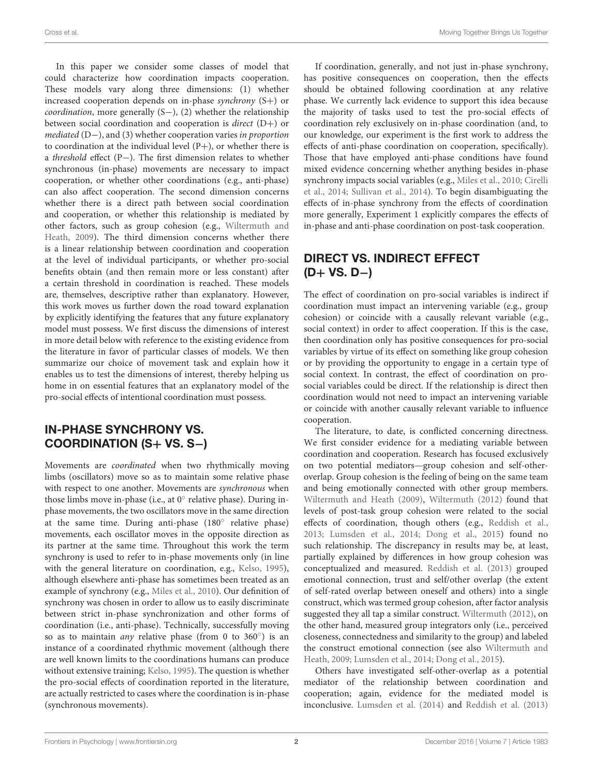In this paper we consider some classes of model that could characterize how coordination impacts cooperation. These models vary along three dimensions: (1) whether increased cooperation depends on in-phase synchrony  $(S+)$  or coordination, more generally (S−), (2) whether the relationship between social coordination and cooperation is direct (D+) or mediated (D−), and (3) whether cooperation varies in proportion to coordination at the individual level  $(P+)$ , or whether there is a threshold effect (P−). The first dimension relates to whether synchronous (in-phase) movements are necessary to impact cooperation, or whether other coordinations (e.g., anti-phase) can also affect cooperation. The second dimension concerns whether there is a direct path between social coordination and cooperation, or whether this relationship is mediated by other factors, such as group cohesion (e.g., Wiltermuth and Heath, [2009\)](#page-12-0). The third dimension concerns whether there is a linear relationship between coordination and cooperation at the level of individual participants, or whether pro-social benefits obtain (and then remain more or less constant) after a certain threshold in coordination is reached. These models are, themselves, descriptive rather than explanatory. However, this work moves us further down the road toward explanation by explicitly identifying the features that any future explanatory model must possess. We first discuss the dimensions of interest in more detail below with reference to the existing evidence from the literature in favor of particular classes of models. We then summarize our choice of movement task and explain how it enables us to test the dimensions of interest, thereby helping us home in on essential features that an explanatory model of the pro-social effects of intentional coordination must possess.

## IN-PHASE SYNCHRONY VS. COORDINATION (S+ VS. S−)

Movements are coordinated when two rhythmically moving limbs (oscillators) move so as to maintain some relative phase with respect to one another. Movements are synchronous when those limbs move in-phase (i.e., at 0◦ relative phase). During inphase movements, the two oscillators move in the same direction at the same time. During anti-phase (180◦ relative phase) movements, each oscillator moves in the opposite direction as its partner at the same time. Throughout this work the term synchrony is used to refer to in-phase movements only (in line with the general literature on coordination, e.g., [Kelso, 1995\)](#page-12-5), although elsewhere anti-phase has sometimes been treated as an example of synchrony (e.g., [Miles et al., 2010\)](#page-12-6). Our definition of synchrony was chosen in order to allow us to easily discriminate between strict in-phase synchronization and other forms of coordination (i.e., anti-phase). Technically, successfully moving so as to maintain *any* relative phase (from 0 to  $360^\circ$ ) is an instance of a coordinated rhythmic movement (although there are well known limits to the coordinations humans can produce without extensive training; [Kelso, 1995\)](#page-12-5). The question is whether the pro-social effects of coordination reported in the literature, are actually restricted to cases where the coordination is in-phase (synchronous movements).

If coordination, generally, and not just in-phase synchrony, has positive consequences on cooperation, then the effects should be obtained following coordination at any relative phase. We currently lack evidence to support this idea because the majority of tasks used to test the pro-social effects of coordination rely exclusively on in-phase coordination (and, to our knowledge, our experiment is the first work to address the effects of anti-phase coordination on cooperation, specifically). Those that have employed anti-phase conditions have found mixed evidence concerning whether anything besides in-phase synchrony impacts social variables (e.g., [Miles et al., 2010;](#page-12-6) Cirelli et al., [2014;](#page-11-1) [Sullivan et al., 2014\)](#page-12-7). To begin disambiguating the effects of in-phase synchrony from the effects of coordination more generally, Experiment 1 explicitly compares the effects of in-phase and anti-phase coordination on post-task cooperation.

## DIRECT VS. INDIRECT EFFECT (D+ VS. D−)

The effect of coordination on pro-social variables is indirect if coordination must impact an intervening variable (e.g., group cohesion) or coincide with a causally relevant variable (e.g., social context) in order to affect cooperation. If this is the case, then coordination only has positive consequences for pro-social variables by virtue of its effect on something like group cohesion or by providing the opportunity to engage in a certain type of social context. In contrast, the effect of coordination on prosocial variables could be direct. If the relationship is direct then coordination would not need to impact an intervening variable or coincide with another causally relevant variable to influence cooperation.

The literature, to date, is conflicted concerning directness. We first consider evidence for a mediating variable between coordination and cooperation. Research has focused exclusively on two potential mediators—group cohesion and self-otheroverlap. Group cohesion is the feeling of being on the same team and being emotionally connected with other group members. [Wiltermuth and Heath \(2009\)](#page-12-0), [Wiltermuth \(2012\)](#page-12-8) found that levels of post-task group cohesion were related to the social effects of coordination, though others (e.g., [Reddish et al.,](#page-12-2) [2013;](#page-12-2) [Lumsden et al., 2014;](#page-12-9) [Dong et al., 2015\)](#page-12-10) found no such relationship. The discrepancy in results may be, at least, partially explained by differences in how group cohesion was conceptualized and measured. [Reddish et al. \(2013\)](#page-12-2) grouped emotional connection, trust and self/other overlap (the extent of self-rated overlap between oneself and others) into a single construct, which was termed group cohesion, after factor analysis suggested they all tap a similar construct. [Wiltermuth \(2012\)](#page-12-8), on the other hand, measured group integrators only (i.e., perceived closeness, connectedness and similarity to the group) and labeled the construct emotional connection (see also Wiltermuth and Heath, [2009;](#page-12-0) [Lumsden et al., 2014;](#page-12-9) [Dong et al., 2015\)](#page-12-10).

Others have investigated self-other-overlap as a potential mediator of the relationship between coordination and cooperation; again, evidence for the mediated model is inconclusive. [Lumsden et al. \(2014\)](#page-12-9) and [Reddish et al. \(2013\)](#page-12-2)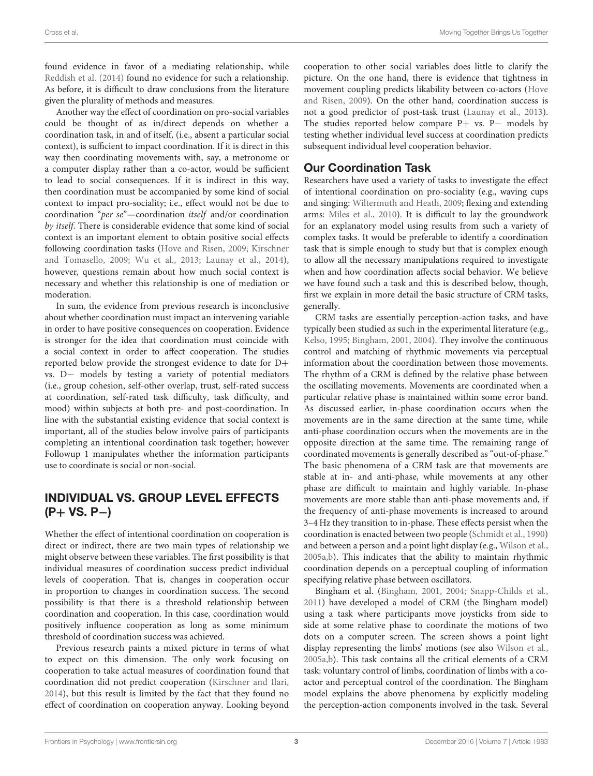found evidence in favor of a mediating relationship, while [Reddish et al. \(2014\)](#page-12-3) found no evidence for such a relationship. As before, it is difficult to draw conclusions from the literature given the plurality of methods and measures.

Another way the effect of coordination on pro-social variables could be thought of as in/direct depends on whether a coordination task, in and of itself, (i.e., absent a particular social context), is sufficient to impact coordination. If it is direct in this way then coordinating movements with, say, a metronome or a computer display rather than a co-actor, would be sufficient to lead to social consequences. If it is indirect in this way, then coordination must be accompanied by some kind of social context to impact pro-sociality; i.e., effect would not be due to coordination "per se"—coordination itself and/or coordination by itself. There is considerable evidence that some kind of social context is an important element to obtain positive social effects following coordination tasks [\(Hove and Risen, 2009;](#page-12-11) Kirschner and Tomasello, [2009;](#page-12-12) [Wu et al., 2013;](#page-12-13) [Launay et al., 2014\)](#page-12-14), however, questions remain about how much social context is necessary and whether this relationship is one of mediation or moderation.

In sum, the evidence from previous research is inconclusive about whether coordination must impact an intervening variable in order to have positive consequences on cooperation. Evidence is stronger for the idea that coordination must coincide with a social context in order to affect cooperation. The studies reported below provide the strongest evidence to date for D+ vs. D− models by testing a variety of potential mediators (i.e., group cohesion, self-other overlap, trust, self-rated success at coordination, self-rated task difficulty, task difficulty, and mood) within subjects at both pre- and post-coordination. In line with the substantial existing evidence that social context is important, all of the studies below involve pairs of participants completing an intentional coordination task together; however Followup 1 manipulates whether the information participants use to coordinate is social or non-social.

## INDIVIDUAL VS. GROUP LEVEL EFFECTS (P+ VS. P−)

Whether the effect of intentional coordination on cooperation is direct or indirect, there are two main types of relationship we might observe between these variables. The first possibility is that individual measures of coordination success predict individual levels of cooperation. That is, changes in cooperation occur in proportion to changes in coordination success. The second possibility is that there is a threshold relationship between coordination and cooperation. In this case, coordination would positively influence cooperation as long as some minimum threshold of coordination success was achieved.

Previous research paints a mixed picture in terms of what to expect on this dimension. The only work focusing on cooperation to take actual measures of coordination found that coordination did not predict cooperation [\(Kirschner and Ilari,](#page-12-4) [2014\)](#page-12-4), but this result is limited by the fact that they found no effect of coordination on cooperation anyway. Looking beyond cooperation to other social variables does little to clarify the picture. On the one hand, there is evidence that tightness in movement coupling predicts likability between co-actors (Hove and Risen, [2009\)](#page-12-11). On the other hand, coordination success is not a good predictor of post-task trust [\(Launay et al., 2013\)](#page-12-15). The studies reported below compare P+ vs. P− models by testing whether individual level success at coordination predicts subsequent individual level cooperation behavior.

## Our Coordination Task

Researchers have used a variety of tasks to investigate the effect of intentional coordination on pro-sociality (e.g., waving cups and singing: [Wiltermuth and Heath, 2009;](#page-12-0) flexing and extending arms: [Miles et al., 2010\)](#page-12-6). It is difficult to lay the groundwork for an explanatory model using results from such a variety of complex tasks. It would be preferable to identify a coordination task that is simple enough to study but that is complex enough to allow all the necessary manipulations required to investigate when and how coordination affects social behavior. We believe we have found such a task and this is described below, though, first we explain in more detail the basic structure of CRM tasks, generally.

CRM tasks are essentially perception-action tasks, and have typically been studied as such in the experimental literature (e.g., [Kelso, 1995;](#page-12-5) [Bingham, 2001,](#page-11-2) [2004\)](#page-11-3). They involve the continuous control and matching of rhythmic movements via perceptual information about the coordination between those movements. The rhythm of a CRM is defined by the relative phase between the oscillating movements. Movements are coordinated when a particular relative phase is maintained within some error band. As discussed earlier, in-phase coordination occurs when the movements are in the same direction at the same time, while anti-phase coordination occurs when the movements are in the opposite direction at the same time. The remaining range of coordinated movements is generally described as "out-of-phase." The basic phenomena of a CRM task are that movements are stable at in- and anti-phase, while movements at any other phase are difficult to maintain and highly variable. In-phase movements are more stable than anti-phase movements and, if the frequency of anti-phase movements is increased to around 3–4 Hz they transition to in-phase. These effects persist when the coordination is enacted between two people [\(Schmidt et al., 1990\)](#page-12-16) and between a person and a point light display (e.g., [Wilson et al.,](#page-12-17) [2005a](#page-12-17)[,b\)](#page-12-18). This indicates that the ability to maintain rhythmic coordination depends on a perceptual coupling of information specifying relative phase between oscillators.

Bingham et al. [\(Bingham, 2001,](#page-11-2) [2004;](#page-11-3) [Snapp-Childs et al.,](#page-12-19) [2011\)](#page-12-19) have developed a model of CRM (the Bingham model) using a task where participants move joysticks from side to side at some relative phase to coordinate the motions of two dots on a computer screen. The screen shows a point light display representing the limbs' motions (see also [Wilson et al.,](#page-12-17) [2005a](#page-12-17)[,b\)](#page-12-18). This task contains all the critical elements of a CRM task: voluntary control of limbs, coordination of limbs with a coactor and perceptual control of the coordination. The Bingham model explains the above phenomena by explicitly modeling the perception-action components involved in the task. Several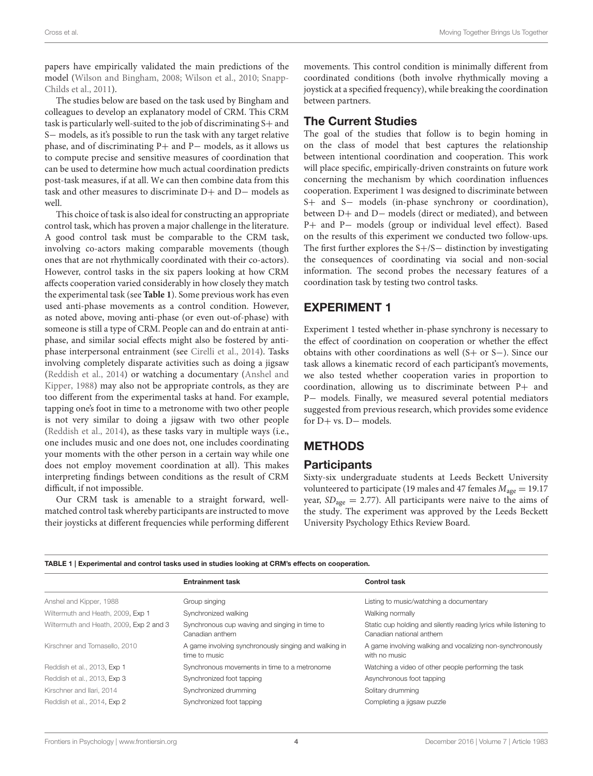papers have empirically validated the main predictions of the model [\(Wilson and Bingham, 2008;](#page-12-20) [Wilson et al., 2010;](#page-12-21) Snapp-Childs et al., [2011\)](#page-12-19).

The studies below are based on the task used by Bingham and colleagues to develop an explanatory model of CRM. This CRM task is particularly well-suited to the job of discriminating S+ and S− models, as it's possible to run the task with any target relative phase, and of discriminating P+ and P− models, as it allows us to compute precise and sensitive measures of coordination that can be used to determine how much actual coordination predicts post-task measures, if at all. We can then combine data from this task and other measures to discriminate D+ and D− models as well.

This choice of task is also ideal for constructing an appropriate control task, which has proven a major challenge in the literature. A good control task must be comparable to the CRM task, involving co-actors making comparable movements (though ones that are not rhythmically coordinated with their co-actors). However, control tasks in the six papers looking at how CRM affects cooperation varied considerably in how closely they match the experimental task (see **[Table 1](#page-3-0)**). Some previous work has even used anti-phase movements as a control condition. However, as noted above, moving anti-phase (or even out-of-phase) with someone is still a type of CRM. People can and do entrain at antiphase, and similar social effects might also be fostered by antiphase interpersonal entrainment (see [Cirelli et al., 2014\)](#page-11-1). Tasks involving completely disparate activities such as doing a jigsaw [\(Reddish et al., 2014\)](#page-12-3) or watching a documentary (Anshel and Kipper, [1988\)](#page-11-0) may also not be appropriate controls, as they are too different from the experimental tasks at hand. For example, tapping one's foot in time to a metronome with two other people is not very similar to doing a jigsaw with two other people [\(Reddish et al., 2014\)](#page-12-3), as these tasks vary in multiple ways (i.e., one includes music and one does not, one includes coordinating your moments with the other person in a certain way while one does not employ movement coordination at all). This makes interpreting findings between conditions as the result of CRM difficult, if not impossible.

Our CRM task is amenable to a straight forward, wellmatched control task whereby participants are instructed to move their joysticks at different frequencies while performing different movements. This control condition is minimally different from coordinated conditions (both involve rhythmically moving a joystick at a specified frequency), while breaking the coordination between partners.

#### The Current Studies

The goal of the studies that follow is to begin homing in on the class of model that best captures the relationship between intentional coordination and cooperation. This work will place specific, empirically-driven constraints on future work concerning the mechanism by which coordination influences cooperation. Experiment 1 was designed to discriminate between S+ and S− models (in-phase synchrony or coordination), between D+ and D− models (direct or mediated), and between P+ and P− models (group or individual level effect). Based on the results of this experiment we conducted two follow-ups. The first further explores the S+/S− distinction by investigating the consequences of coordinating via social and non-social information. The second probes the necessary features of a coordination task by testing two control tasks.

#### EXPERIMENT 1

Experiment 1 tested whether in-phase synchrony is necessary to the effect of coordination on cooperation or whether the effect obtains with other coordinations as well (S+ or S−). Since our task allows a kinematic record of each participant's movements, we also tested whether cooperation varies in proportion to coordination, allowing us to discriminate between P+ and P- models. Finally, we measured several potential mediators suggested from previous research, which provides some evidence for D+ vs. D− models.

## **METHODS**

#### **Participants**

Sixty-six undergraduate students at Leeds Beckett University volunteered to participate (19 males and 47 females  $M_{\text{age}} = 19.17$ year,  $SD<sub>age</sub> = 2.77$ ). All participants were naive to the aims of the study. The experiment was approved by the Leeds Beckett University Psychology Ethics Review Board.

<span id="page-3-0"></span>

| TABLE 1   Experimental and control tasks used in studies looking at CRM's effects on cooperation. |                                                                        |                                                                                               |
|---------------------------------------------------------------------------------------------------|------------------------------------------------------------------------|-----------------------------------------------------------------------------------------------|
|                                                                                                   | <b>Entrainment task</b>                                                | <b>Control task</b>                                                                           |
| Anshel and Kipper, 1988                                                                           | Group singing                                                          | Listing to music/watching a documentary                                                       |
| Wiltermuth and Heath, 2009, Exp 1                                                                 | Synchronized walking                                                   | Walking normally                                                                              |
| Wiltermuth and Heath, 2009, Exp 2 and 3                                                           | Synchronous cup waving and singing in time to<br>Canadian anthem       | Static cup holding and silently reading lyrics while listening to<br>Canadian national anthem |
| Kirschner and Tomasello, 2010                                                                     | A game involving synchronously singing and walking in<br>time to music | A game involving walking and vocalizing non-synchronously<br>with no music                    |
| Reddish et al., 2013, Exp 1                                                                       | Synchronous movements in time to a metronome                           | Watching a video of other people performing the task                                          |
| Reddish et al., 2013, Exp 3                                                                       | Synchronized foot tapping                                              | Asynchronous foot tapping                                                                     |
| Kirschner and Ilari, 2014                                                                         | Synchronized drumming                                                  | Solitary drumming                                                                             |
| Reddish et al., 2014, Exp 2                                                                       | Synchronized foot tapping                                              | Completing a jigsaw puzzle                                                                    |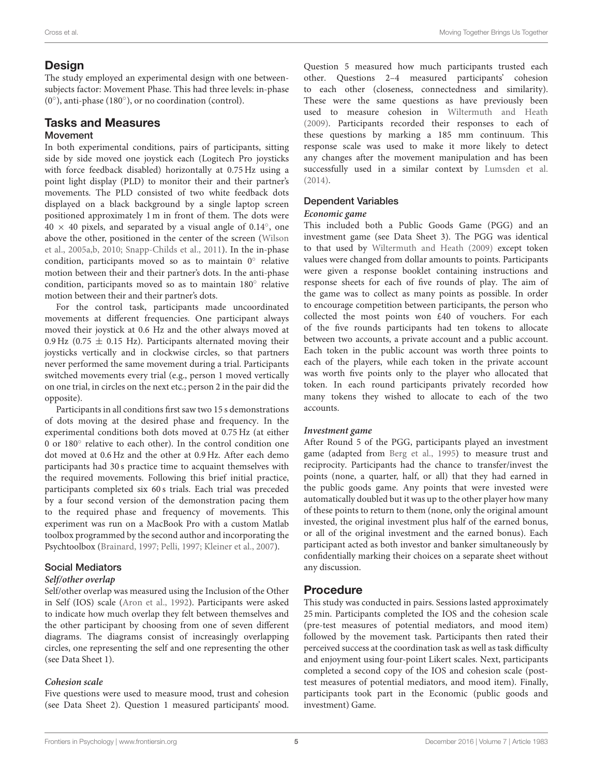#### **Design**

The study employed an experimental design with one betweensubjects factor: Movement Phase. This had three levels: in-phase (0◦ ), anti-phase (180◦ ), or no coordination (control).

#### Tasks and Measures Movement

In both experimental conditions, pairs of participants, sitting side by side moved one joystick each (Logitech Pro joysticks with force feedback disabled) horizontally at 0.75 Hz using a point light display (PLD) to monitor their and their partner's movements. The PLD consisted of two white feedback dots displayed on a black background by a single laptop screen positioned approximately 1 m in front of them. The dots were  $40 \times 40$  pixels, and separated by a visual angle of 0.14 $^{\circ}$ , one above the other, positioned in the center of the screen (Wilson et al., [2005a,](#page-12-17)[b,](#page-12-18) [2010;](#page-12-21) [Snapp-Childs et al., 2011\)](#page-12-19). In the in-phase condition, participants moved so as to maintain 0° relative motion between their and their partner's dots. In the anti-phase condition, participants moved so as to maintain 180◦ relative motion between their and their partner's dots.

For the control task, participants made uncoordinated movements at different frequencies. One participant always moved their joystick at 0.6 Hz and the other always moved at 0.9 Hz (0.75  $\pm$  0.15 Hz). Participants alternated moving their joysticks vertically and in clockwise circles, so that partners never performed the same movement during a trial. Participants switched movements every trial (e.g., person 1 moved vertically on one trial, in circles on the next etc.; person 2 in the pair did the opposite).

Participants in all conditions first saw two 15 s demonstrations of dots moving at the desired phase and frequency. In the experimental conditions both dots moved at 0.75 Hz (at either 0 or 180° relative to each other). In the control condition one dot moved at 0.6 Hz and the other at 0.9 Hz. After each demo participants had 30 s practice time to acquaint themselves with the required movements. Following this brief initial practice, participants completed six 60 s trials. Each trial was preceded by a four second version of the demonstration pacing them to the required phase and frequency of movements. This experiment was run on a MacBook Pro with a custom Matlab toolbox programmed by the second author and incorporating the Psychtoolbox [\(Brainard, 1997;](#page-11-4) [Pelli, 1997;](#page-12-22) [Kleiner et al., 2007\)](#page-12-23).

#### Social Mediators

#### **Self/other overlap**

Self/other overlap was measured using the Inclusion of the Other in Self (IOS) scale [\(Aron et al., 1992\)](#page-11-5). Participants were asked to indicate how much overlap they felt between themselves and the other participant by choosing from one of seven different diagrams. The diagrams consist of increasingly overlapping circles, one representing the self and one representing the other (see Data Sheet 1).

#### **Cohesion scale**

Five questions were used to measure mood, trust and cohesion (see Data Sheet 2). Question 1 measured participants' mood. Question 5 measured how much participants trusted each other. Questions 2–4 measured participants' cohesion to each other (closeness, connectedness and similarity). These were the same questions as have previously been used to measure cohesion in [Wiltermuth and Heath](#page-12-0) [\(2009\)](#page-12-0). Participants recorded their responses to each of these questions by marking a 185 mm continuum. This response scale was used to make it more likely to detect any changes after the movement manipulation and has been successfully used in a similar context by [Lumsden et al.](#page-12-9) [\(2014\)](#page-12-9).

#### Dependent Variables

#### **Economic game**

This included both a Public Goods Game (PGG) and an investment game (see Data Sheet 3). The PGG was identical to that used by [Wiltermuth and Heath \(2009\)](#page-12-0) except token values were changed from dollar amounts to points. Participants were given a response booklet containing instructions and response sheets for each of five rounds of play. The aim of the game was to collect as many points as possible. In order to encourage competition between participants, the person who collected the most points won £40 of vouchers. For each of the five rounds participants had ten tokens to allocate between two accounts, a private account and a public account. Each token in the public account was worth three points to each of the players, while each token in the private account was worth five points only to the player who allocated that token. In each round participants privately recorded how many tokens they wished to allocate to each of the two accounts.

#### **Investment game**

After Round 5 of the PGG, participants played an investment game (adapted from [Berg et al., 1995\)](#page-11-6) to measure trust and reciprocity. Participants had the chance to transfer/invest the points (none, a quarter, half, or all) that they had earned in the public goods game. Any points that were invested were automatically doubled but it was up to the other player how many of these points to return to them (none, only the original amount invested, the original investment plus half of the earned bonus, or all of the original investment and the earned bonus). Each participant acted as both investor and banker simultaneously by confidentially marking their choices on a separate sheet without any discussion.

#### Procedure

This study was conducted in pairs. Sessions lasted approximately 25 min. Participants completed the IOS and the cohesion scale (pre-test measures of potential mediators, and mood item) followed by the movement task. Participants then rated their perceived success at the coordination task as well as task difficulty and enjoyment using four-point Likert scales. Next, participants completed a second copy of the IOS and cohesion scale (posttest measures of potential mediators, and mood item). Finally, participants took part in the Economic (public goods and investment) Game.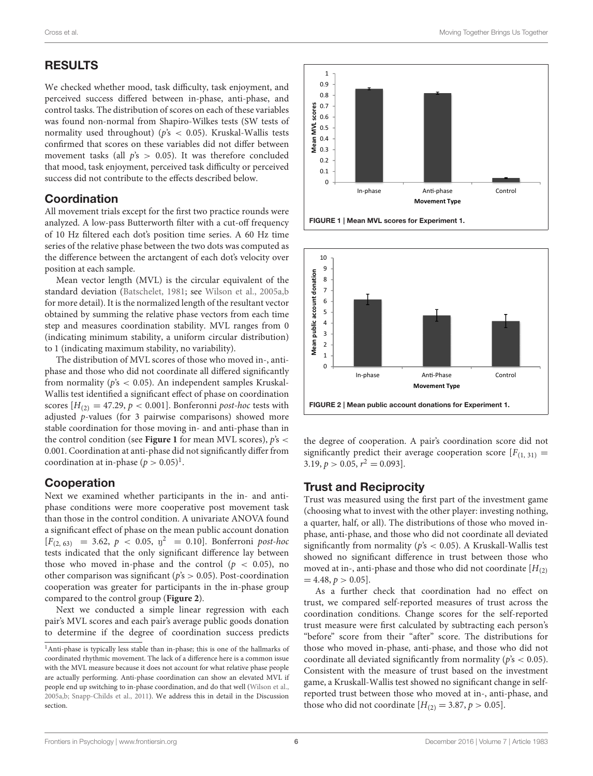## RESULTS

We checked whether mood, task difficulty, task enjoyment, and perceived success differed between in-phase, anti-phase, and control tasks. The distribution of scores on each of these variables was found non-normal from Shapiro-Wilkes tests (SW tests of normality used throughout) ( $p's < 0.05$ ). Kruskal-Wallis tests confirmed that scores on these variables did not differ between movement tasks (all  $p's > 0.05$ ). It was therefore concluded that mood, task enjoyment, perceived task difficulty or perceived success did not contribute to the effects described below.

#### Coordination

All movement trials except for the first two practice rounds were analyzed. A low-pass Butterworth filter with a cut-off frequency of 10 Hz filtered each dot's position time series. A 60 Hz time series of the relative phase between the two dots was computed as the difference between the arctangent of each dot's velocity over position at each sample.

Mean vector length (MVL) is the circular equivalent of the standard deviation [\(Batschelet, 1981;](#page-11-7) see [Wilson et al., 2005a](#page-12-17)[,b](#page-12-18) for more detail). It is the normalized length of the resultant vector obtained by summing the relative phase vectors from each time step and measures coordination stability. MVL ranges from 0 (indicating minimum stability, a uniform circular distribution) to 1 (indicating maximum stability, no variability).

The distribution of MVL scores of those who moved in-, antiphase and those who did not coordinate all differed significantly from normality ( $p's < 0.05$ ). An independent samples Kruskal-Wallis test identified a significant effect of phase on coordination scores  $[H_{(2)} = 47.29, p < 0.001]$ . Bonferonni post-hoc tests with adjusted p-values (for 3 pairwise comparisons) showed more stable coordination for those moving in- and anti-phase than in the control condition (see **[Figure 1](#page-5-0)** for mean MVL scores),  $p's <$ 0.001. Coordination at anti-phase did not significantly differ from coordination at in-phase  $(p > 0.05)^1$  $(p > 0.05)^1$ .

#### Cooperation

Next we examined whether participants in the in- and antiphase conditions were more cooperative post movement task than those in the control condition. A univariate ANOVA found a significant effect of phase on the mean public account donation  $[F_{(2, 63)} = 3.62, p < 0.05, \eta^2 = 0.10]$ . Bonferroni post-hoc tests indicated that the only significant difference lay between those who moved in-phase and the control ( $p < 0.05$ ), no other comparison was significant ( $p's > 0.05$ ). Post-coordination cooperation was greater for participants in the in-phase group compared to the control group (**[Figure 2](#page-5-2)**).

Next we conducted a simple linear regression with each pair's MVL scores and each pair's average public goods donation to determine if the degree of coordination success predicts



<span id="page-5-0"></span>

<span id="page-5-2"></span>the degree of cooperation. A pair's coordination score did not significantly predict their average cooperation score  $[F_{(1, 31)}]$  =  $3.19, p > 0.05, r^2 = 0.093$ .

## Trust and Reciprocity

Trust was measured using the first part of the investment game (choosing what to invest with the other player: investing nothing, a quarter, half, or all). The distributions of those who moved inphase, anti-phase, and those who did not coordinate all deviated significantly from normality ( $p's < 0.05$ ). A Kruskall-Wallis test showed no significant difference in trust between those who moved at in-, anti-phase and those who did not coordinate  $[H_{(2)}]$  $= 4.48, p > 0.05$ .

As a further check that coordination had no effect on trust, we compared self-reported measures of trust across the coordination conditions. Change scores for the self-reported trust measure were first calculated by subtracting each person's "before" score from their "after" score. The distributions for those who moved in-phase, anti-phase, and those who did not coordinate all deviated significantly from normality ( $p's < 0.05$ ). Consistent with the measure of trust based on the investment game, a Kruskall-Wallis test showed no significant change in selfreported trust between those who moved at in-, anti-phase, and those who did not coordinate  $[H_{(2)} = 3.87, p > 0.05]$ .

<span id="page-5-1"></span><sup>&</sup>lt;sup>1</sup>Anti-phase is typically less stable than in-phase; this is one of the hallmarks of coordinated rhythmic movement. The lack of a difference here is a common issue with the MVL measure because it does not account for what relative phase people are actually performing. Anti-phase coordination can show an elevated MVL if people end up switching to in-phase coordination, and do that well [\(Wilson et al.,](#page-12-17) [2005a](#page-12-17)[,b;](#page-12-18) [Snapp-Childs et al., 2011\)](#page-12-19). We address this in detail in the Discussion section.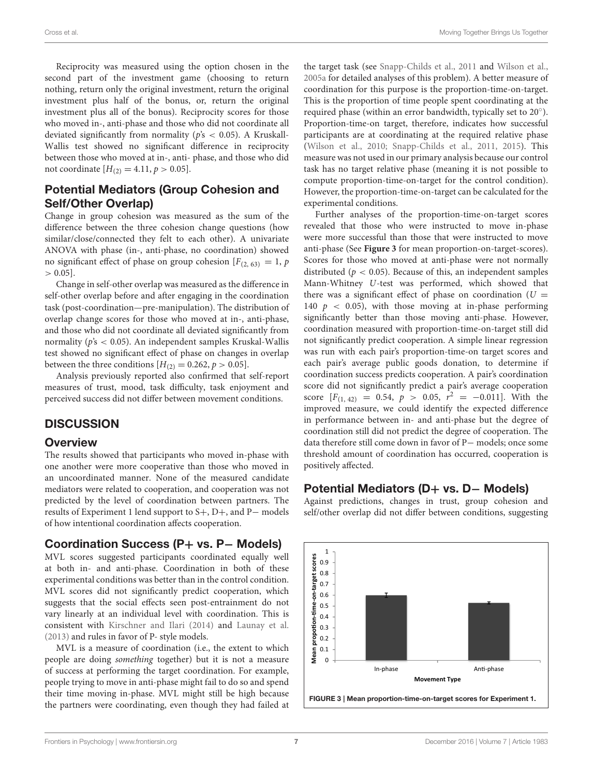Reciprocity was measured using the option chosen in the second part of the investment game (choosing to return nothing, return only the original investment, return the original investment plus half of the bonus, or, return the original investment plus all of the bonus). Reciprocity scores for those who moved in-, anti-phase and those who did not coordinate all deviated significantly from normality ( $p's < 0.05$ ). A Kruskall-Wallis test showed no significant difference in reciprocity between those who moved at in-, anti- phase, and those who did not coordinate  $[H_{(2)} = 4.11, p > 0.05]$ .

#### Potential Mediators (Group Cohesion and Self/Other Overlap)

Change in group cohesion was measured as the sum of the difference between the three cohesion change questions (how similar/close/connected they felt to each other). A univariate ANOVA with phase (in-, anti-phase, no coordination) showed no significant effect of phase on group cohesion  $[F_{(2, 63)} = 1, p]$  $> 0.05$ ].

Change in self-other overlap was measured as the difference in self-other overlap before and after engaging in the coordination task (post-coordination—pre-manipulation). The distribution of overlap change scores for those who moved at in-, anti-phase, and those who did not coordinate all deviated significantly from normality ( $p's < 0.05$ ). An independent samples Kruskal-Wallis test showed no significant effect of phase on changes in overlap between the three conditions  $[H_{(2)} = 0.262, p > 0.05]$ .

Analysis previously reported also confirmed that self-report measures of trust, mood, task difficulty, task enjoyment and perceived success did not differ between movement conditions.

#### **DISCUSSION**

#### **Overview**

The results showed that participants who moved in-phase with one another were more cooperative than those who moved in an uncoordinated manner. None of the measured candidate mediators were related to cooperation, and cooperation was not predicted by the level of coordination between partners. The results of Experiment 1 lend support to S+, D+, and P− models of how intentional coordination affects cooperation.

#### Coordination Success (P+ vs. P− Models)

MVL scores suggested participants coordinated equally well at both in- and anti-phase. Coordination in both of these experimental conditions was better than in the control condition. MVL scores did not significantly predict cooperation, which suggests that the social effects seen post-entrainment do not vary linearly at an individual level with coordination. This is consistent with [Kirschner and Ilari \(2014\)](#page-12-4) and [Launay et al.](#page-12-15) [\(2013\)](#page-12-15) and rules in favor of P- style models.

MVL is a measure of coordination (i.e., the extent to which people are doing something together) but it is not a measure of success at performing the target coordination. For example, people trying to move in anti-phase might fail to do so and spend their time moving in-phase. MVL might still be high because the partners were coordinating, even though they had failed at the target task (see [Snapp-Childs et al., 2011](#page-12-19) and [Wilson et al.,](#page-12-17) [2005a](#page-12-17) for detailed analyses of this problem). A better measure of coordination for this purpose is the proportion-time-on-target. This is the proportion of time people spent coordinating at the required phase (within an error bandwidth, typically set to 20◦ ). Proportion-time-on target, therefore, indicates how successful participants are at coordinating at the required relative phase [\(Wilson et al., 2010;](#page-12-21) [Snapp-Childs et al., 2011,](#page-12-19) [2015\)](#page-12-24). This measure was not used in our primary analysis because our control task has no target relative phase (meaning it is not possible to compute proportion-time-on-target for the control condition). However, the proportion-time-on-target can be calculated for the experimental conditions.

Further analyses of the proportion-time-on-target scores revealed that those who were instructed to move in-phase were more successful than those that were instructed to move anti-phase (See **[Figure 3](#page-6-0)** for mean proportion-on-target-scores). Scores for those who moved at anti-phase were not normally distributed ( $p < 0.05$ ). Because of this, an independent samples Mann-Whitney U-test was performed, which showed that there was a significant effect of phase on coordination ( $U =$ 140  $p \le 0.05$ , with those moving at in-phase performing significantly better than those moving anti-phase. However, coordination measured with proportion-time-on-target still did not significantly predict cooperation. A simple linear regression was run with each pair's proportion-time-on target scores and each pair's average public goods donation, to determine if coordination success predicts cooperation. A pair's coordination score did not significantly predict a pair's average cooperation score  $[F_{(1, 42)} = 0.54, p > 0.05, r^2 = -0.011]$ . With the improved measure, we could identify the expected difference in performance between in- and anti-phase but the degree of coordination still did not predict the degree of cooperation. The data therefore still come down in favor of P− models; once some threshold amount of coordination has occurred, cooperation is positively affected.

#### Potential Mediators (D+ vs. D– Models)

Against predictions, changes in trust, group cohesion and self/other overlap did not differ between conditions, suggesting

<span id="page-6-0"></span>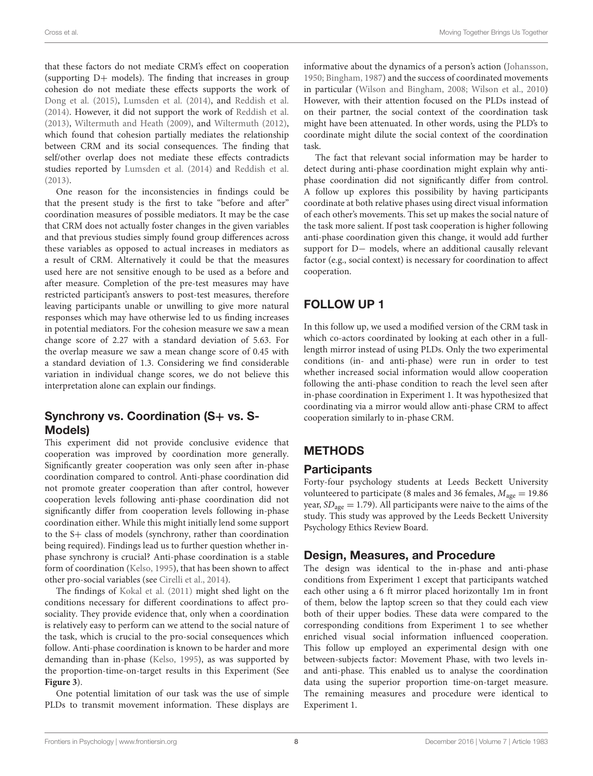that these factors do not mediate CRM's effect on cooperation (supporting  $D+$  models). The finding that increases in group cohesion do not mediate these effects supports the work of [Dong et al. \(2015\)](#page-12-10), [Lumsden et al. \(2014\)](#page-12-9), and [Reddish et al.](#page-12-3) [\(2014\)](#page-12-3). However, it did not support the work of [Reddish et al.](#page-12-2) [\(2013\)](#page-12-2), [Wiltermuth and Heath \(2009\)](#page-12-0), and [Wiltermuth \(2012\)](#page-12-8), which found that cohesion partially mediates the relationship between CRM and its social consequences. The finding that self/other overlap does not mediate these effects contradicts studies reported by [Lumsden et al. \(2014\)](#page-12-9) and [Reddish et al.](#page-12-2) [\(2013\)](#page-12-2).

One reason for the inconsistencies in findings could be that the present study is the first to take "before and after" coordination measures of possible mediators. It may be the case that CRM does not actually foster changes in the given variables and that previous studies simply found group differences across these variables as opposed to actual increases in mediators as a result of CRM. Alternatively it could be that the measures used here are not sensitive enough to be used as a before and after measure. Completion of the pre-test measures may have restricted participant's answers to post-test measures, therefore leaving participants unable or unwilling to give more natural responses which may have otherwise led to us finding increases in potential mediators. For the cohesion measure we saw a mean change score of 2.27 with a standard deviation of 5.63. For the overlap measure we saw a mean change score of 0.45 with a standard deviation of 1.3. Considering we find considerable variation in individual change scores, we do not believe this interpretation alone can explain our findings.

## Synchrony vs. Coordination (S+ vs. S-Models)

This experiment did not provide conclusive evidence that cooperation was improved by coordination more generally. Significantly greater cooperation was only seen after in-phase coordination compared to control. Anti-phase coordination did not promote greater cooperation than after control, however cooperation levels following anti-phase coordination did not significantly differ from cooperation levels following in-phase coordination either. While this might initially lend some support to the S+ class of models (synchrony, rather than coordination being required). Findings lead us to further question whether inphase synchrony is crucial? Anti-phase coordination is a stable form of coordination [\(Kelso, 1995\)](#page-12-5), that has been shown to affect other pro-social variables (see [Cirelli et al., 2014\)](#page-11-1).

The findings of [Kokal et al. \(2011\)](#page-12-25) might shed light on the conditions necessary for different coordinations to affect prosociality. They provide evidence that, only when a coordination is relatively easy to perform can we attend to the social nature of the task, which is crucial to the pro-social consequences which follow. Anti-phase coordination is known to be harder and more demanding than in-phase [\(Kelso, 1995\)](#page-12-5), as was supported by the proportion-time-on-target results in this Experiment (See **[Figure 3](#page-6-0)**).

One potential limitation of our task was the use of simple PLDs to transmit movement information. These displays are informative about the dynamics of a person's action [\(Johansson,](#page-12-26) [1950;](#page-12-26) [Bingham, 1987\)](#page-11-8) and the success of coordinated movements in particular [\(Wilson and Bingham, 2008;](#page-12-20) [Wilson et al., 2010\)](#page-12-21) However, with their attention focused on the PLDs instead of on their partner, the social context of the coordination task might have been attenuated. In other words, using the PLD's to coordinate might dilute the social context of the coordination task.

The fact that relevant social information may be harder to detect during anti-phase coordination might explain why antiphase coordination did not significantly differ from control. A follow up explores this possibility by having participants coordinate at both relative phases using direct visual information of each other's movements. This set up makes the social nature of the task more salient. If post task cooperation is higher following anti-phase coordination given this change, it would add further support for D− models, where an additional causally relevant factor (e.g., social context) is necessary for coordination to affect cooperation.

## FOLLOW UP 1

In this follow up, we used a modified version of the CRM task in which co-actors coordinated by looking at each other in a fulllength mirror instead of using PLDs. Only the two experimental conditions (in- and anti-phase) were run in order to test whether increased social information would allow cooperation following the anti-phase condition to reach the level seen after in-phase coordination in Experiment 1. It was hypothesized that coordinating via a mirror would allow anti-phase CRM to affect cooperation similarly to in-phase CRM.

## **METHODS**

## **Participants**

Forty-four psychology students at Leeds Beckett University volunteered to participate (8 males and 36 females,  $M_{\text{age}} = 19.86$ year,  $SD<sub>age</sub> = 1.79$ ). All participants were naive to the aims of the study. This study was approved by the Leeds Beckett University Psychology Ethics Review Board.

## Design, Measures, and Procedure

The design was identical to the in-phase and anti-phase conditions from Experiment 1 except that participants watched each other using a 6 ft mirror placed horizontally 1m in front of them, below the laptop screen so that they could each view both of their upper bodies. These data were compared to the corresponding conditions from Experiment 1 to see whether enriched visual social information influenced cooperation. This follow up employed an experimental design with one between-subjects factor: Movement Phase, with two levels inand anti-phase. This enabled us to analyse the coordination data using the superior proportion time-on-target measure. The remaining measures and procedure were identical to Experiment 1.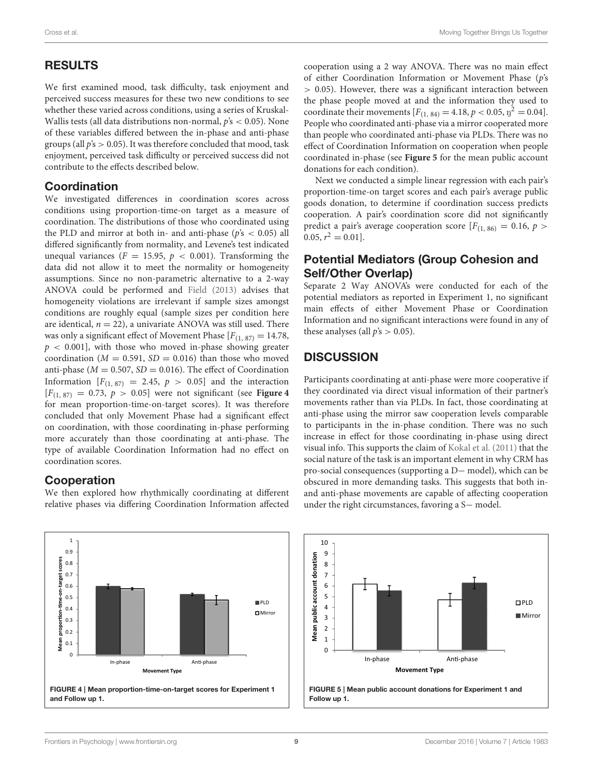#### RESULTS

We first examined mood, task difficulty, task enjoyment and perceived success measures for these two new conditions to see whether these varied across conditions, using a series of Kruskal-Wallis tests (all data distributions non-normal,  $\dot{p}$ 's < 0.05). None of these variables differed between the in-phase and anti-phase groups (all  $p's > 0.05$ ). It was therefore concluded that mood, task enjoyment, perceived task difficulty or perceived success did not contribute to the effects described below.

#### Coordination

We investigated differences in coordination scores across conditions using proportion-time-on target as a measure of coordination. The distributions of those who coordinated using the PLD and mirror at both in- and anti-phase ( $p's < 0.05$ ) all differed significantly from normality, and Levene's test indicated unequal variances ( $F = 15.95$ ,  $p < 0.001$ ). Transforming the data did not allow it to meet the normality or homogeneity assumptions. Since no non-parametric alternative to a 2-way ANOVA could be performed and [Field \(2013\)](#page-12-27) advises that homogeneity violations are irrelevant if sample sizes amongst conditions are roughly equal (sample sizes per condition here are identical,  $n = 22$ ), a univariate ANOVA was still used. There was only a significant effect of Movement Phase  $[F(1, 87) = 14.78$ ,  $p < 0.001$ , with those who moved in-phase showing greater coordination ( $M = 0.591$ ,  $SD = 0.016$ ) than those who moved anti-phase ( $M = 0.507$ ,  $SD = 0.016$ ). The effect of Coordination Information  $[F(1, 87) = 2.45, p > 0.05]$  and the interaction  $[F_{(1, 87)} = 0.73, p > 0.05]$  were not significant (see **[Figure 4](#page-8-0)** for mean proportion-time-on-target scores). It was therefore concluded that only Movement Phase had a significant effect on coordination, with those coordinating in-phase performing more accurately than those coordinating at anti-phase. The type of available Coordination Information had no effect on coordination scores.

#### Cooperation

We then explored how rhythmically coordinating at different relative phases via differing Coordination Information affected cooperation using a 2 way ANOVA. There was no main effect of either Coordination Information or Movement Phase (p's > 0.05). However, there was a significant interaction between the phase people moved at and the information they used to coordinate their movements  $[F_{(1, 84)} = 4.18, p < 0.05, \eta^2 = 0.04]$ . People who coordinated anti-phase via a mirror cooperated more than people who coordinated anti-phase via PLDs. There was no effect of Coordination Information on cooperation when people coordinated in-phase (see **[Figure 5](#page-8-1)** for the mean public account donations for each condition).

Next we conducted a simple linear regression with each pair's proportion-time-on target scores and each pair's average public goods donation, to determine if coordination success predicts cooperation. A pair's coordination score did not significantly predict a pair's average cooperation score  $[F(1, 86) = 0.16, p >$  $0.05, r^2 = 0.01$ .

#### Potential Mediators (Group Cohesion and Self/Other Overlap)

Separate 2 Way ANOVA's were conducted for each of the potential mediators as reported in Experiment 1, no significant main effects of either Movement Phase or Coordination Information and no significant interactions were found in any of these analyses (all  $p's > 0.05$ ).

## **DISCUSSION**

Participants coordinating at anti-phase were more cooperative if they coordinated via direct visual information of their partner's movements rather than via PLDs. In fact, those coordinating at anti-phase using the mirror saw cooperation levels comparable to participants in the in-phase condition. There was no such increase in effect for those coordinating in-phase using direct visual info. This supports the claim of [Kokal et al. \(2011\)](#page-12-25) that the social nature of the task is an important element in why CRM has pro-social consequences (supporting a D− model), which can be obscured in more demanding tasks. This suggests that both inand anti-phase movements are capable of affecting cooperation under the right circumstances, favoring a S− model.

<span id="page-8-0"></span>

<span id="page-8-1"></span>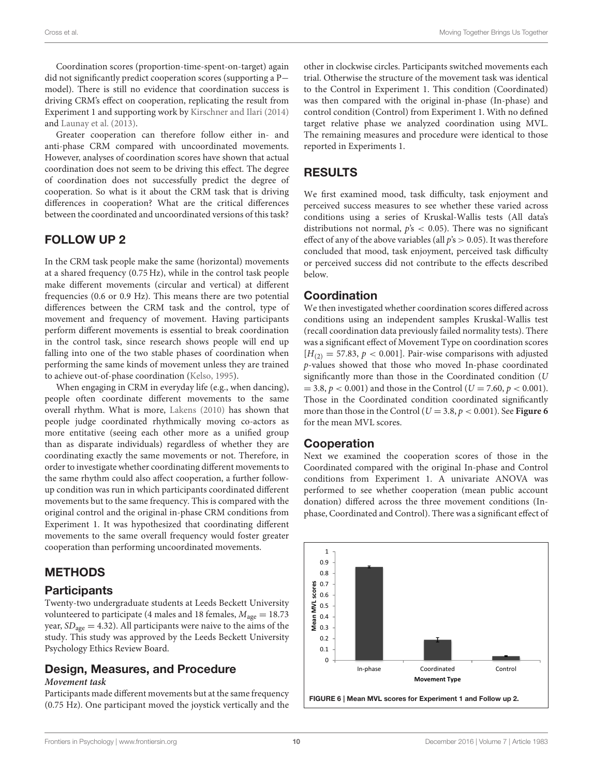Coordination scores (proportion-time-spent-on-target) again did not significantly predict cooperation scores (supporting a P− model). There is still no evidence that coordination success is driving CRM's effect on cooperation, replicating the result from Experiment 1 and supporting work by [Kirschner and Ilari \(2014\)](#page-12-4) and [Launay et al. \(2013\)](#page-12-15).

Greater cooperation can therefore follow either in- and anti-phase CRM compared with uncoordinated movements. However, analyses of coordination scores have shown that actual coordination does not seem to be driving this effect. The degree of coordination does not successfully predict the degree of cooperation. So what is it about the CRM task that is driving differences in cooperation? What are the critical differences between the coordinated and uncoordinated versions of this task?

## FOLLOW UP 2

In the CRM task people make the same (horizontal) movements at a shared frequency (0.75 Hz), while in the control task people make different movements (circular and vertical) at different frequencies (0.6 or 0.9 Hz). This means there are two potential differences between the CRM task and the control, type of movement and frequency of movement. Having participants perform different movements is essential to break coordination in the control task, since research shows people will end up falling into one of the two stable phases of coordination when performing the same kinds of movement unless they are trained to achieve out-of-phase coordination [\(Kelso, 1995\)](#page-12-5).

When engaging in CRM in everyday life (e.g., when dancing), people often coordinate different movements to the same overall rhythm. What is more, [Lakens \(2010\)](#page-12-28) has shown that people judge coordinated rhythmically moving co-actors as more entitative (seeing each other more as a unified group than as disparate individuals) regardless of whether they are coordinating exactly the same movements or not. Therefore, in order to investigate whether coordinating different movements to the same rhythm could also affect cooperation, a further followup condition was run in which participants coordinated different movements but to the same frequency. This is compared with the original control and the original in-phase CRM conditions from Experiment 1. It was hypothesized that coordinating different movements to the same overall frequency would foster greater cooperation than performing uncoordinated movements.

## METHODS

## **Participants**

Twenty-two undergraduate students at Leeds Beckett University volunteered to participate (4 males and 18 females,  $M_{\text{age}} = 18.73$ year,  $SD<sub>age</sub> = 4.32$ ). All participants were naive to the aims of the study. This study was approved by the Leeds Beckett University Psychology Ethics Review Board.

#### Design, Measures, and Procedure **Movement task**

Participants made different movements but at the same frequency (0.75 Hz). One participant moved the joystick vertically and the other in clockwise circles. Participants switched movements each trial. Otherwise the structure of the movement task was identical to the Control in Experiment 1. This condition (Coordinated) was then compared with the original in-phase (In-phase) and control condition (Control) from Experiment 1. With no defined target relative phase we analyzed coordination using MVL. The remaining measures and procedure were identical to those reported in Experiments 1.

## RESULTS

We first examined mood, task difficulty, task enjoyment and perceived success measures to see whether these varied across conditions using a series of Kruskal-Wallis tests (All data's distributions not normal,  $\dot{p}$ 's < 0.05). There was no significant effect of any of the above variables (all  $p's > 0.05$ ). It was therefore concluded that mood, task enjoyment, perceived task difficulty or perceived success did not contribute to the effects described below.

#### Coordination

We then investigated whether coordination scores differed across conditions using an independent samples Kruskal-Wallis test (recall coordination data previously failed normality tests). There was a significant effect of Movement Type on coordination scores  $[H_{(2)} = 57.83, p < 0.001]$ . Pair-wise comparisons with adjusted p-values showed that those who moved In-phase coordinated significantly more than those in the Coordinated condition (U  $= 3.8, p < 0.001$ ) and those in the Control ( $U = 7.60, p < 0.001$ ). Those in the Coordinated condition coordinated significantly more than those in the Control ( $U = 3.8$ ,  $p < 0.001$ ). See **[Figure 6](#page-9-0)** for the mean MVL scores.

## Cooperation

Next we examined the cooperation scores of those in the Coordinated compared with the original In-phase and Control conditions from Experiment 1. A univariate ANOVA was performed to see whether cooperation (mean public account donation) differed across the three movement conditions (Inphase, Coordinated and Control). There was a significant effect of

<span id="page-9-0"></span>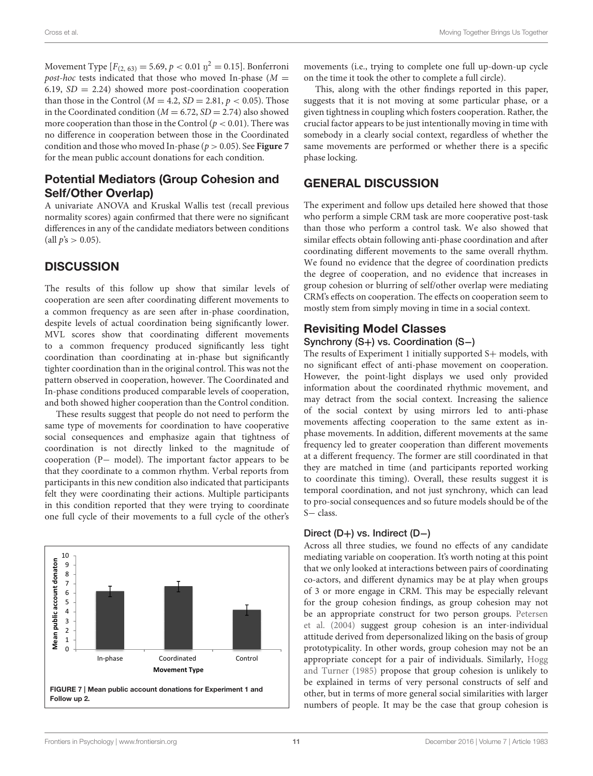Movement Type  $[F_{(2, 63)} = 5.69, p < 0.01 \text{ y}^2 = 0.15]$ . Bonferroni post-hoc tests indicated that those who moved In-phase  $(M =$ 6.19,  $SD = 2.24$ ) showed more post-coordination cooperation than those in the Control ( $M = 4.2$ ,  $SD = 2.81$ ,  $p < 0.05$ ). Those in the Coordinated condition ( $M = 6.72$ ,  $SD = 2.74$ ) also showed more cooperation than those in the Control ( $p < 0.01$ ). There was no difference in cooperation between those in the Coordinated condition and those who moved In-phase ( $p > 0.05$ ). See **[Figure 7](#page-10-0)** for the mean public account donations for each condition.

#### Potential Mediators (Group Cohesion and Self/Other Overlap)

A univariate ANOVA and Kruskal Wallis test (recall previous normality scores) again confirmed that there were no significant differences in any of the candidate mediators between conditions (all  $p's > 0.05$ ).

#### **DISCUSSION**

The results of this follow up show that similar levels of cooperation are seen after coordinating different movements to a common frequency as are seen after in-phase coordination, despite levels of actual coordination being significantly lower. MVL scores show that coordinating different movements to a common frequency produced significantly less tight coordination than coordinating at in-phase but significantly tighter coordination than in the original control. This was not the pattern observed in cooperation, however. The Coordinated and In-phase conditions produced comparable levels of cooperation, and both showed higher cooperation than the Control condition.

These results suggest that people do not need to perform the same type of movements for coordination to have cooperative social consequences and emphasize again that tightness of coordination is not directly linked to the magnitude of cooperation (P− model). The important factor appears to be that they coordinate to a common rhythm. Verbal reports from participants in this new condition also indicated that participants felt they were coordinating their actions. Multiple participants in this condition reported that they were trying to coordinate one full cycle of their movements to a full cycle of the other's

<span id="page-10-0"></span>

movements (i.e., trying to complete one full up-down-up cycle on the time it took the other to complete a full circle).

This, along with the other findings reported in this paper, suggests that it is not moving at some particular phase, or a given tightness in coupling which fosters cooperation. Rather, the crucial factor appears to be just intentionally moving in time with somebody in a clearly social context, regardless of whether the same movements are performed or whether there is a specific phase locking.

#### GENERAL DISCUSSION

The experiment and follow ups detailed here showed that those who perform a simple CRM task are more cooperative post-task than those who perform a control task. We also showed that similar effects obtain following anti-phase coordination and after coordinating different movements to the same overall rhythm. We found no evidence that the degree of coordination predicts the degree of cooperation, and no evidence that increases in group cohesion or blurring of self/other overlap were mediating CRM's effects on cooperation. The effects on cooperation seem to mostly stem from simply moving in time in a social context.

#### Revisiting Model Classes

#### Synchrony (S+) vs. Coordination (S−)

The results of Experiment 1 initially supported S+ models, with no significant effect of anti-phase movement on cooperation. However, the point-light displays we used only provided information about the coordinated rhythmic movement, and may detract from the social context. Increasing the salience of the social context by using mirrors led to anti-phase movements affecting cooperation to the same extent as inphase movements. In addition, different movements at the same frequency led to greater cooperation than different movements at a different frequency. The former are still coordinated in that they are matched in time (and participants reported working to coordinate this timing). Overall, these results suggest it is temporal coordination, and not just synchrony, which can lead to pro-social consequences and so future models should be of the S− class.

#### Direct (D+) vs. Indirect (D−)

Across all three studies, we found no effects of any candidate mediating variable on cooperation. It's worth noting at this point that we only looked at interactions between pairs of coordinating co-actors, and different dynamics may be at play when groups of 3 or more engage in CRM. This may be especially relevant for the group cohesion findings, as group cohesion may not be an appropriate construct for two person groups. Petersen et al. [\(2004\)](#page-12-29) suggest group cohesion is an inter-individual attitude derived from depersonalized liking on the basis of group prototypicality. In other words, group cohesion may not be an appropriate concept for a pair of individuals. Similarly, Hogg and Turner [\(1985\)](#page-12-30) propose that group cohesion is unlikely to be explained in terms of very personal constructs of self and other, but in terms of more general social similarities with larger numbers of people. It may be the case that group cohesion is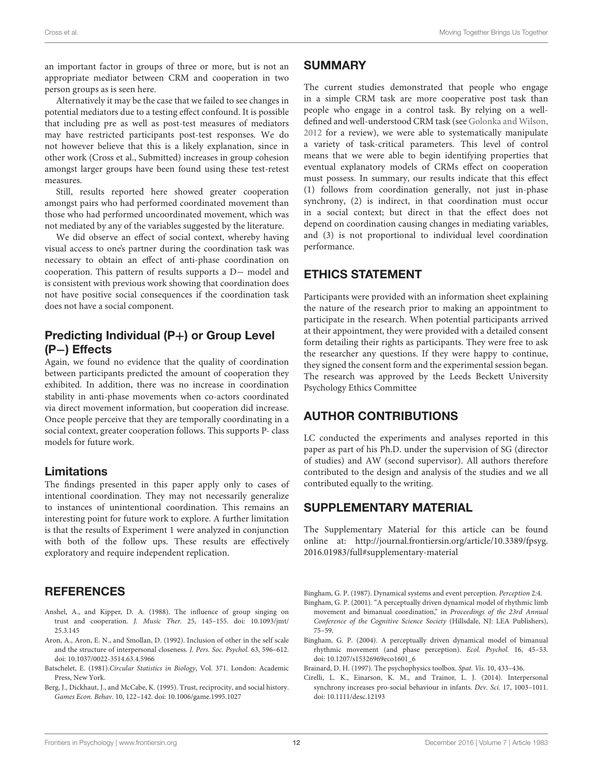an important factor in groups of three or more, but is not an appropriate mediator between CRM and cooperation in two person groups as is seen here.

Alternatively it may be the case that we failed to see changes in potential mediators due to a testing effect confound. It is possible that including pre as well as post-test measures of mediators may have restricted participants post-test responses. We do not however believe that this is a likely explanation, since in other work (Cross et al., Submitted) increases in group cohesion amongst larger groups have been found using these test-retest measures.

Still, results reported here showed greater cooperation amongst pairs who had performed coordinated movement than those who had performed uncoordinated movement, which was not mediated by any of the variables suggested by the literature.

We did observe an effect of social context, whereby having visual access to one's partner during the coordination task was necessary to obtain an effect of anti-phase coordination on cooperation. This pattern of results supports a D− model and is consistent with previous work showing that coordination does not have positive social consequences if the coordination task does not have a social component.

## Predicting Individual (P+) or Group Level (P−) Effects

Again, we found no evidence that the quality of coordination between participants predicted the amount of cooperation they exhibited. In addition, there was no increase in coordination stability in anti-phase movements when co-actors coordinated via direct movement information, but cooperation did increase. Once people perceive that they are temporally coordinating in a social context, greater cooperation follows. This supports P- class models for future work.

#### Limitations

The findings presented in this paper apply only to cases of intentional coordination. They may not necessarily generalize to instances of unintentional coordination. This remains an interesting point for future work to explore. A further limitation is that the results of Experiment 1 were analyzed in conjunction with both of the follow ups. These results are effectively exploratory and require independent replication.

## **REFERENCES**

- <span id="page-11-0"></span>Anshel, A., and Kipper, D. A. (1988). The influence of group singing on [trust and cooperation.](https://doi.org/10.1093/jmt/25.3.145) J. Music Ther. 25, 145–155. doi: 10.1093/jmt/ 25.3.145
- <span id="page-11-5"></span>Aron, A., Aron, E. N., and Smollan, D. (1992). Inclusion of other in the self scale and the structure of interpersonal closeness. J. Pers. Soc. Psychol. 63, 596–612. doi: [10.1037/0022-3514.63.4.5966](https://doi.org/10.1037/0022-3514.63.4.5966)
- <span id="page-11-7"></span>Batschelet, E. (1981).Circular Statistics in Biology, Vol. 371. London: Academic Press, New York.
- <span id="page-11-6"></span>Berg, J., Dickhaut, J., and McCabe, K. (1995). Trust, reciprocity, and social history. Games Econ. Behav. 10, 122–142. doi: [10.1006/game.1995.1027](https://doi.org/10.1006/game.1995.1027)

#### **SUMMARY**

The current studies demonstrated that people who engage in a simple CRM task are more cooperative post task than people who engage in a control task. By relying on a welldefined and well-understood CRM task (see [Golonka and Wilson,](#page-12-31) [2012](#page-12-31) for a review), we were able to systematically manipulate a variety of task-critical parameters. This level of control means that we were able to begin identifying properties that eventual explanatory models of CRMs effect on cooperation must possess. In summary, our results indicate that this effect (1) follows from coordination generally, not just in-phase synchrony, (2) is indirect, in that coordination must occur in a social context; but direct in that the effect does not depend on coordination causing changes in mediating variables, and (3) is not proportional to individual level coordination performance.

## ETHICS STATEMENT

Participants were provided with an information sheet explaining the nature of the research prior to making an appointment to participate in the research. When potential participants arrived at their appointment, they were provided with a detailed consent form detailing their rights as participants. They were free to ask the researcher any questions. If they were happy to continue, they signed the consent form and the experimental session began. The research was approved by the Leeds Beckett University Psychology Ethics Committee

## AUTHOR CONTRIBUTIONS

LC conducted the experiments and analyses reported in this paper as part of his Ph.D. under the supervision of SG (director of studies) and AW (second supervisor). All authors therefore contributed to the design and analysis of the studies and we all contributed equally to the writing.

## SUPPLEMENTARY MATERIAL

The Supplementary Material for this article can be found [online at: http://journal.frontiersin.org/article/10.3389/fpsyg.](http://journal.frontiersin.org/article/10.3389/fpsyg.2016.01983/full#supplementary-material) 2016.01983/full#supplementary-material

<span id="page-11-8"></span>Bingham, G. P. (1987). Dynamical systems and event perception. Perception 2:4.

- <span id="page-11-2"></span>Bingham, G. P. (2001). "A perceptually driven dynamical model of rhythmic limb movement and bimanual coordination," in Proceedings of the 23rd Annual Conference of the Cognitive Science Society (Hillsdale, NJ: LEA Publishers), 75–59.
- <span id="page-11-3"></span>Bingham, G. P. (2004). A perceptually driven dynamical model of bimanual rhythmic movement (and phase perception). Ecol. Psychol. 16, 45–53. doi: [10.1207/s15326969eco1601\\_6](https://doi.org/10.1207/s15326969eco1601_6)
- <span id="page-11-4"></span>Brainard, D. H. (1997). The psychophysics toolbox. Spat. Vis. 10, 433–436.
- <span id="page-11-1"></span>Cirelli, L. K., Einarson, K. M., and Trainor, L. J. (2014). Interpersonal synchrony increases pro-social behaviour in infants. Dev. Sci. 17, 1003–1011. doi: [10.1111/desc.12193](https://doi.org/10.1111/desc.12193)